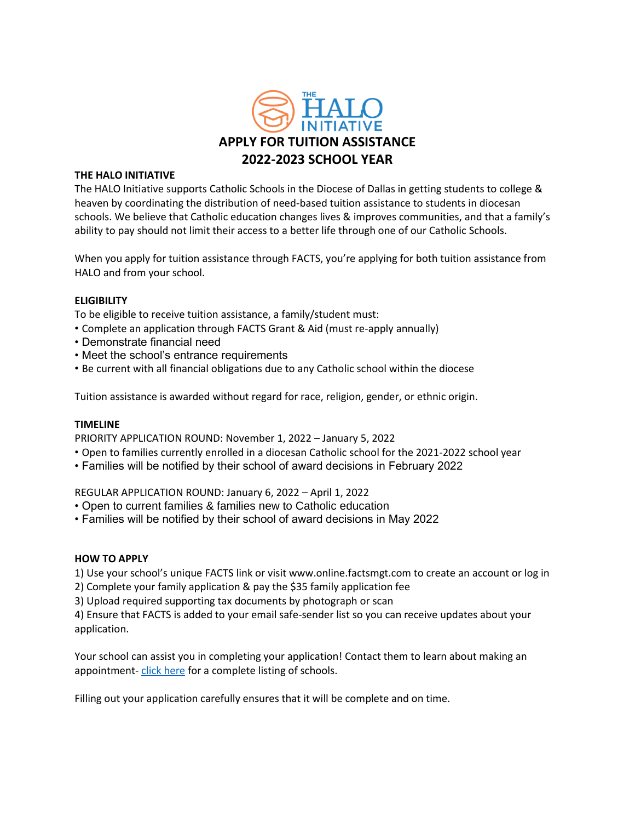

#### **THE HALO INITIATIVE**

The HALO Initiative supports Catholic Schools in the Diocese of Dallas in getting students to college & heaven by coordinating the distribution of need-based tuition assistance to students in diocesan schools. We believe that Catholic education changes lives & improves communities, and that a family's ability to pay should not limit their access to a better life through one of our Catholic Schools.

When you apply for tuition assistance through FACTS, you're applying for both tuition assistance from HALO and from your school.

## **ELIGIBILITY**

To be eligible to receive tuition assistance, a family/student must:

- Complete an application through FACTS Grant & Aid (must re-apply annually)
- Demonstrate financial need
- Meet the school's entrance requirements
- Be current with all financial obligations due to any Catholic school within the diocese

Tuition assistance is awarded without regard for race, religion, gender, or ethnic origin.

## **TIMELINE**

PRIORITY APPLICATION ROUND: November 1, 2022 – January 5, 2022

- Open to families currently enrolled in a diocesan Catholic school for the 2021-2022 school year
- Families will be notified by their school of award decisions in February 2022

REGULAR APPLICATION ROUND: January 6, 2022 – April 1, 2022

- Open to current families & families new to Catholic education
- Families will be notified by their school of award decisions in May 2022

#### **HOW TO APPLY**

1) Use your school's unique FACTS link or visit www.online.factsmgt.com to create an account or log in

- 2) Complete your family application & pay the \$35 family application fee
- 3) Upload required supporting tax documents by photograph or scan

4) Ensure that FACTS is added to your email safe-sender list so you can receive updates about your application.

Your school can assist you in completing your application! Contact them to learn about making an appointment- [click here](https://csodallas.org/) for a complete listing of schools.

Filling out your application carefully ensures that it will be complete and on time.